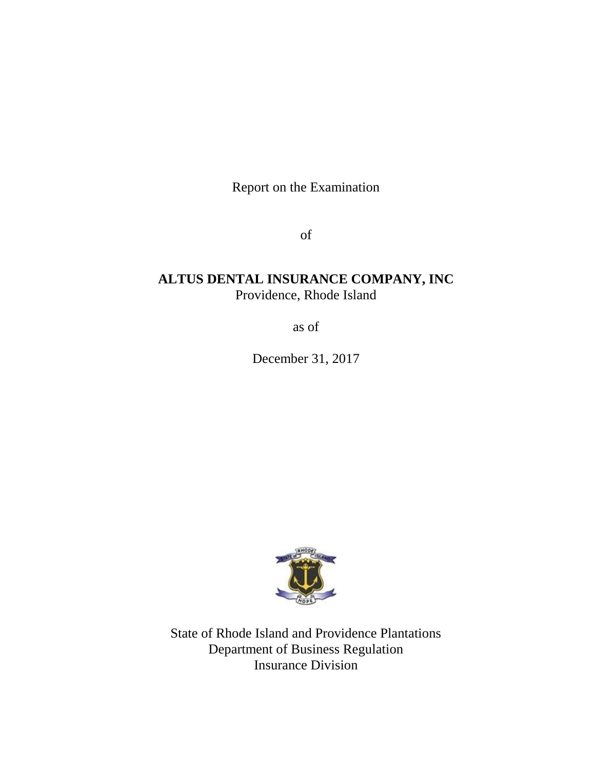Report on the Examination

of

# **ALTUS DENTAL INSURANCE COMPANY, INC** Providence, Rhode Island

as of

December 31, 2017



State of Rhode Island and Providence Plantations Department of Business Regulation Insurance Division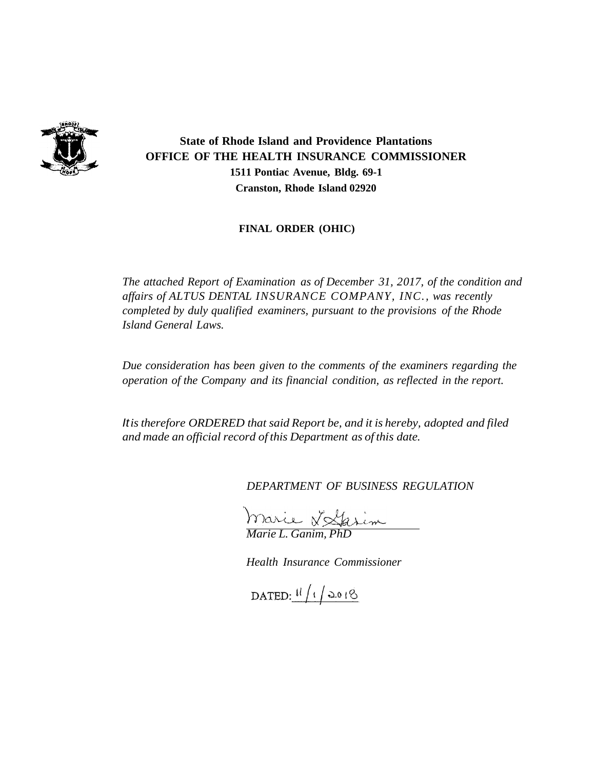

**State of Rhode Island and Providence Plantations OFFICE OF THE HEALTH INSURANCE COMMISSIONER 1511 Pontiac Avenue, Bldg. 69-1 Cranston, Rhode Island 02920**

**FINAL ORDER (OHIC)**

*The attached Report of Examination as of December 31, 2017, of the condition and affairs of ALTUS DENTAL INSURANCE COMPANY, INC., was recently completed by duly qualified examiners, pursuant to the provisions of the Rhode Island General Laws.*

*Due consideration has been given to the comments of the examiners regarding the operation of the Company and its financial condition, as reflected in the report.*

*Itistherefore ORDERED that said Report be, and it is hereby, adopted and filed and made an official record of this Department as of this date.*

*DEPARTMENT OF BUSINESS REGULATION*

*Marie L. Ganim, PhD*

*Health Insurance Commissioner*

DATED:  $11/12018$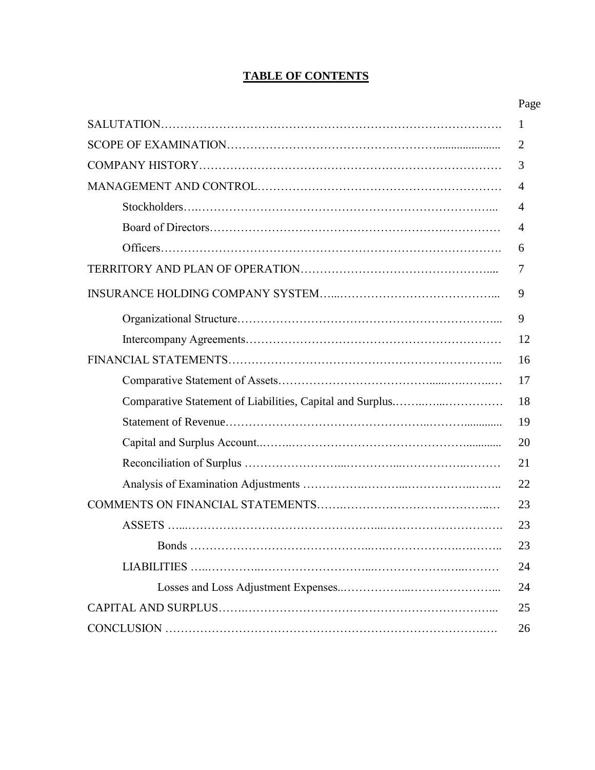## **TABLE OF CONTENTS**

|                                                           | 1  |
|-----------------------------------------------------------|----|
|                                                           | 2  |
|                                                           | 3  |
|                                                           | 4  |
|                                                           | 4  |
|                                                           | 4  |
|                                                           | 6  |
|                                                           | 7  |
|                                                           | 9  |
|                                                           | 9  |
|                                                           | 12 |
|                                                           | 16 |
|                                                           | 17 |
| Comparative Statement of Liabilities, Capital and Surplus | 18 |
|                                                           | 19 |
|                                                           | 20 |
|                                                           | 21 |
|                                                           | 22 |
|                                                           | 23 |
|                                                           | 23 |
|                                                           | 23 |
|                                                           | 24 |
|                                                           | 24 |
|                                                           | 25 |
|                                                           | 26 |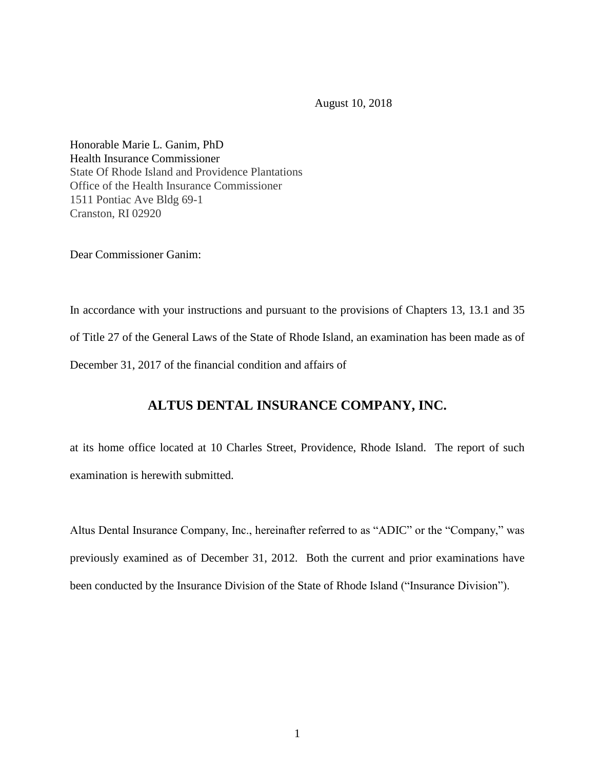August 10, 2018

Honorable Marie L. Ganim, PhD Health Insurance Commissioner State Of Rhode Island and Providence Plantations Office of the Health Insurance Commissioner 1511 Pontiac Ave Bldg 69-1 Cranston, RI 02920

Dear Commissioner Ganim:

In accordance with your instructions and pursuant to the provisions of Chapters 13, 13.1 and 35 of Title 27 of the General Laws of the State of Rhode Island, an examination has been made as of December 31, 2017 of the financial condition and affairs of

## **ALTUS DENTAL INSURANCE COMPANY, INC.**

at its home office located at 10 Charles Street, Providence, Rhode Island. The report of such examination is herewith submitted.

Altus Dental Insurance Company, Inc., hereinafter referred to as "ADIC" or the "Company," was previously examined as of December 31, 2012. Both the current and prior examinations have been conducted by the Insurance Division of the State of Rhode Island ("Insurance Division").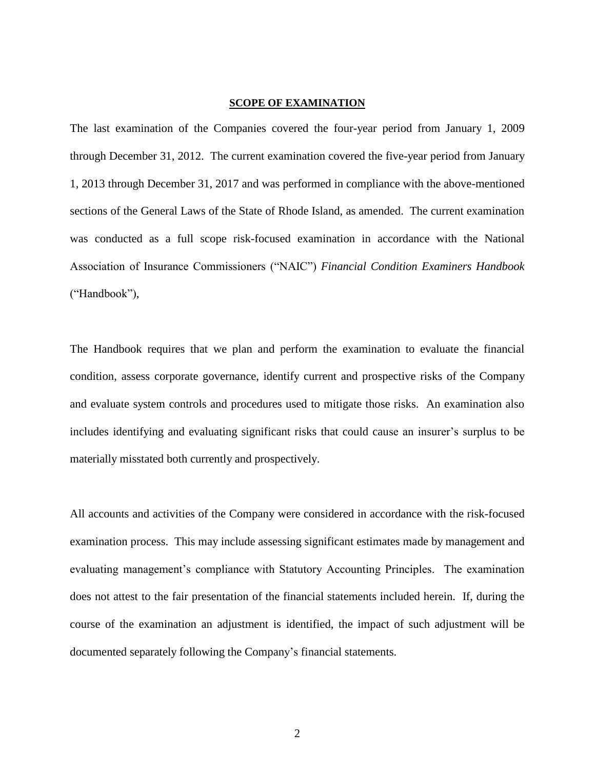## **SCOPE OF EXAMINATION**

The last examination of the Companies covered the four-year period from January 1, 2009 through December 31, 2012. The current examination covered the five-year period from January 1, 2013 through December 31, 2017 and was performed in compliance with the above-mentioned sections of the General Laws of the State of Rhode Island, as amended. The current examination was conducted as a full scope risk-focused examination in accordance with the National Association of Insurance Commissioners ("NAIC") *Financial Condition Examiners Handbook* ("Handbook"),

The Handbook requires that we plan and perform the examination to evaluate the financial condition, assess corporate governance, identify current and prospective risks of the Company and evaluate system controls and procedures used to mitigate those risks. An examination also includes identifying and evaluating significant risks that could cause an insurer's surplus to be materially misstated both currently and prospectively.

All accounts and activities of the Company were considered in accordance with the risk-focused examination process. This may include assessing significant estimates made by management and evaluating management's compliance with Statutory Accounting Principles. The examination does not attest to the fair presentation of the financial statements included herein. If, during the course of the examination an adjustment is identified, the impact of such adjustment will be documented separately following the Company's financial statements.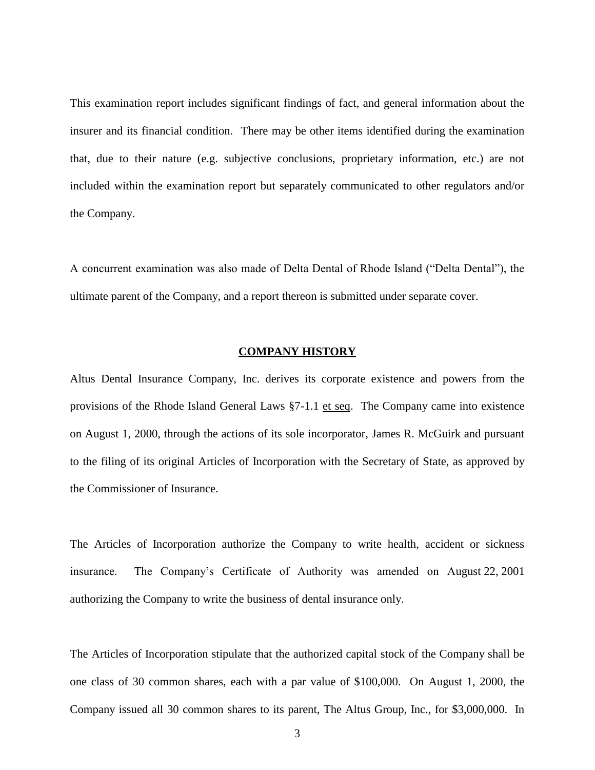This examination report includes significant findings of fact, and general information about the insurer and its financial condition. There may be other items identified during the examination that, due to their nature (e.g. subjective conclusions, proprietary information, etc.) are not included within the examination report but separately communicated to other regulators and/or the Company.

A concurrent examination was also made of Delta Dental of Rhode Island ("Delta Dental"), the ultimate parent of the Company, and a report thereon is submitted under separate cover.

#### **COMPANY HISTORY**

Altus Dental Insurance Company, Inc. derives its corporate existence and powers from the provisions of the Rhode Island General Laws §7-1.1 et seq. The Company came into existence on August 1, 2000, through the actions of its sole incorporator, James R. McGuirk and pursuant to the filing of its original Articles of Incorporation with the Secretary of State, as approved by the Commissioner of Insurance.

The Articles of Incorporation authorize the Company to write health, accident or sickness insurance. The Company's Certificate of Authority was amended on August 22, 2001 authorizing the Company to write the business of dental insurance only.

The Articles of Incorporation stipulate that the authorized capital stock of the Company shall be one class of 30 common shares, each with a par value of \$100,000. On August 1, 2000, the Company issued all 30 common shares to its parent, The Altus Group, Inc., for \$3,000,000. In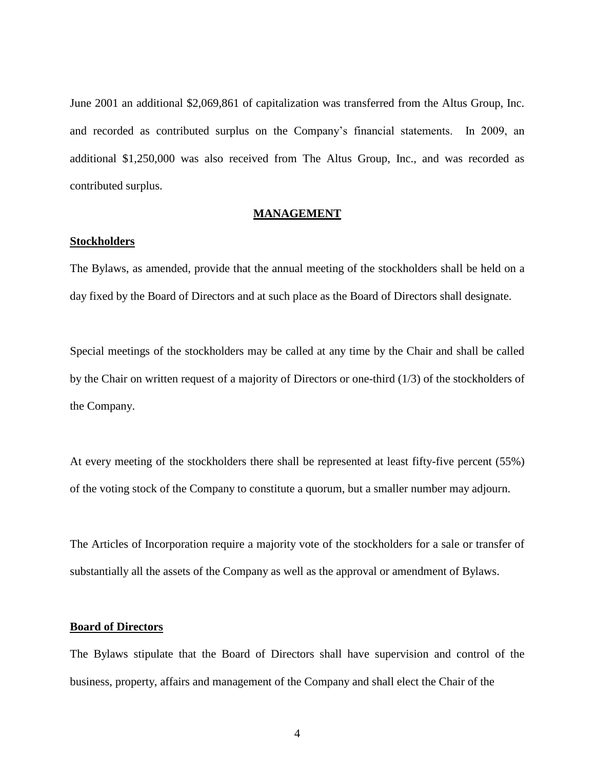June 2001 an additional \$2,069,861 of capitalization was transferred from the Altus Group, Inc. and recorded as contributed surplus on the Company's financial statements. In 2009, an additional \$1,250,000 was also received from The Altus Group, Inc., and was recorded as contributed surplus.

## **MANAGEMENT**

#### **Stockholders**

The Bylaws, as amended, provide that the annual meeting of the stockholders shall be held on a day fixed by the Board of Directors and at such place as the Board of Directors shall designate.

Special meetings of the stockholders may be called at any time by the Chair and shall be called by the Chair on written request of a majority of Directors or one-third (1/3) of the stockholders of the Company.

At every meeting of the stockholders there shall be represented at least fifty-five percent (55%) of the voting stock of the Company to constitute a quorum, but a smaller number may adjourn.

The Articles of Incorporation require a majority vote of the stockholders for a sale or transfer of substantially all the assets of the Company as well as the approval or amendment of Bylaws.

## **Board of Directors**

The Bylaws stipulate that the Board of Directors shall have supervision and control of the business, property, affairs and management of the Company and shall elect the Chair of the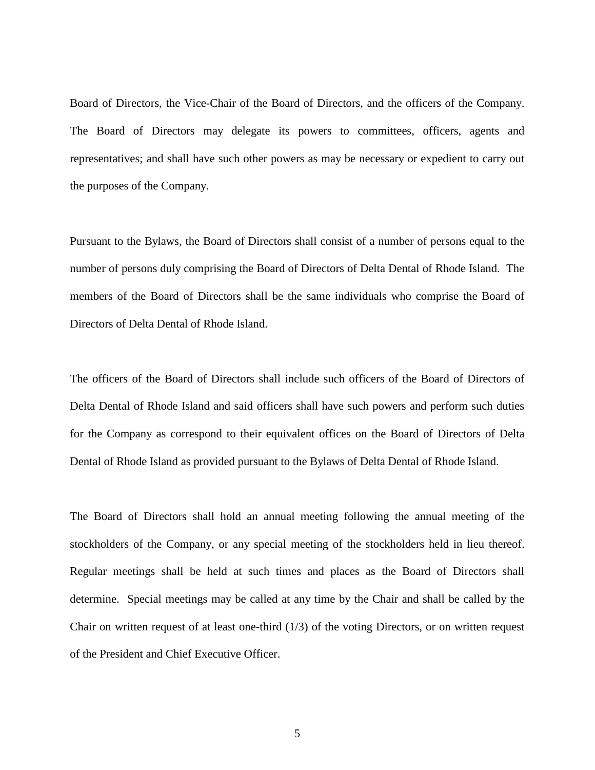Board of Directors, the Vice-Chair of the Board of Directors, and the officers of the Company. The Board of Directors may delegate its powers to committees, officers, agents and representatives; and shall have such other powers as may be necessary or expedient to carry out the purposes of the Company.

Pursuant to the Bylaws, the Board of Directors shall consist of a number of persons equal to the number of persons duly comprising the Board of Directors of Delta Dental of Rhode Island. The members of the Board of Directors shall be the same individuals who comprise the Board of Directors of Delta Dental of Rhode Island.

The officers of the Board of Directors shall include such officers of the Board of Directors of Delta Dental of Rhode Island and said officers shall have such powers and perform such duties for the Company as correspond to their equivalent offices on the Board of Directors of Delta Dental of Rhode Island as provided pursuant to the Bylaws of Delta Dental of Rhode Island.

The Board of Directors shall hold an annual meeting following the annual meeting of the stockholders of the Company, or any special meeting of the stockholders held in lieu thereof. Regular meetings shall be held at such times and places as the Board of Directors shall determine. Special meetings may be called at any time by the Chair and shall be called by the Chair on written request of at least one-third (1/3) of the voting Directors, or on written request of the President and Chief Executive Officer.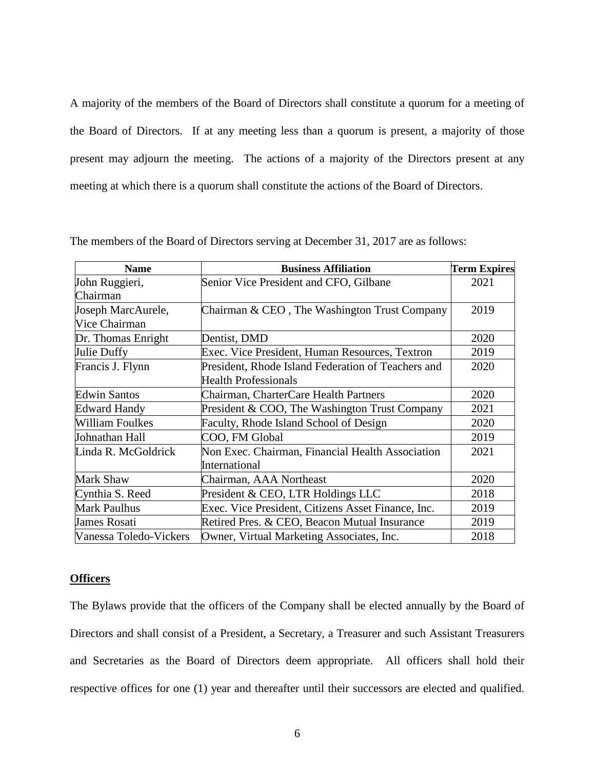A majority of the members of the Board of Directors shall constitute a quorum for a meeting of the Board of Directors. If at any meeting less than a quorum is present, a majority of those present may adjourn the meeting. The actions of a majority of the Directors present at any meeting at which there is a quorum shall constitute the actions of the Board of Directors.

| <b>Name</b>            | <b>Business Affiliation</b>                        | <b>Term Expires</b> |
|------------------------|----------------------------------------------------|---------------------|
| John Ruggieri,         | Senior Vice President and CFO, Gilbane             | 2021                |
| Chairman               |                                                    |                     |
| Joseph MarcAurele,     | Chairman & CEO, The Washington Trust Company       | 2019                |
| Vice Chairman          |                                                    |                     |
| Dr. Thomas Enright     | Dentist, DMD                                       | 2020                |
| Julie Duffy            | Exec. Vice President, Human Resources, Textron     | 2019                |
| Francis J. Flynn       | President, Rhode Island Federation of Teachers and | 2020                |
|                        | <b>Health Professionals</b>                        |                     |
| <b>Edwin Santos</b>    | Chairman, CharterCare Health Partners              | 2020                |
| <b>Edward Handy</b>    | President & COO, The Washington Trust Company      | 2021                |
| <b>William Foulkes</b> | Faculty, Rhode Island School of Design             | 2020                |
| Johnathan Hall         | COO, FM Global                                     | 2019                |
| Linda R. McGoldrick    | Non Exec. Chairman, Financial Health Association   | 2021                |
|                        | International                                      |                     |
| Mark Shaw              | Chairman, AAA Northeast                            | 2020                |
| Cynthia S. Reed        | President & CEO, LTR Holdings LLC                  | 2018                |
| <b>Mark Paulhus</b>    | Exec. Vice President, Citizens Asset Finance, Inc. | 2019                |
| James Rosati           | Retired Pres. & CEO, Beacon Mutual Insurance       | 2019                |
| Vanessa Toledo-Vickers | Owner, Virtual Marketing Associates, Inc.          | 2018                |

The members of the Board of Directors serving at December 31, 2017 are as follows:

## **Officers**

The Bylaws provide that the officers of the Company shall be elected annually by the Board of Directors and shall consist of a President, a Secretary, a Treasurer and such Assistant Treasurers and Secretaries as the Board of Directors deem appropriate. All officers shall hold their respective offices for one (1) year and thereafter until their successors are elected and qualified.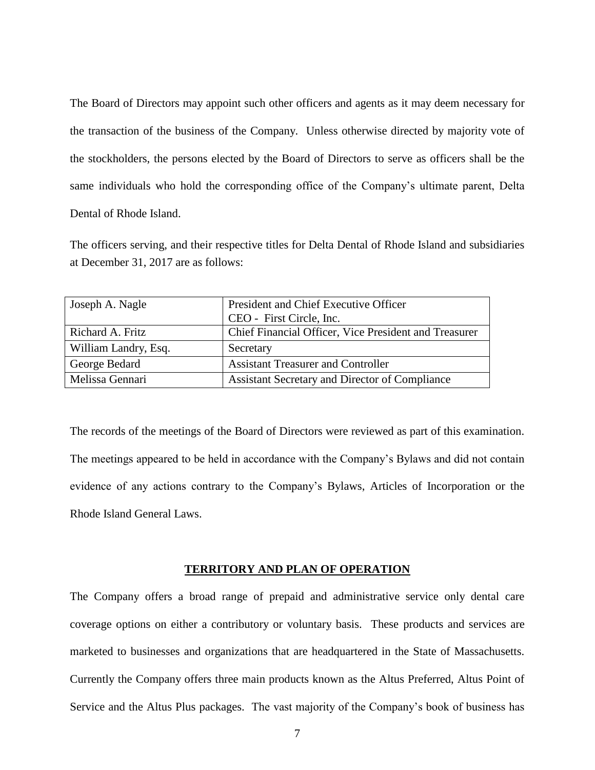The Board of Directors may appoint such other officers and agents as it may deem necessary for the transaction of the business of the Company. Unless otherwise directed by majority vote of the stockholders, the persons elected by the Board of Directors to serve as officers shall be the same individuals who hold the corresponding office of the Company's ultimate parent, Delta Dental of Rhode Island.

The officers serving, and their respective titles for Delta Dental of Rhode Island and subsidiaries at December 31, 2017 are as follows:

| Joseph A. Nagle      | President and Chief Executive Officer                 |
|----------------------|-------------------------------------------------------|
|                      | CEO - First Circle, Inc.                              |
| Richard A. Fritz     | Chief Financial Officer, Vice President and Treasurer |
| William Landry, Esq. | Secretary                                             |
| George Bedard        | <b>Assistant Treasurer and Controller</b>             |
| Melissa Gennari      | Assistant Secretary and Director of Compliance        |

The records of the meetings of the Board of Directors were reviewed as part of this examination. The meetings appeared to be held in accordance with the Company's Bylaws and did not contain evidence of any actions contrary to the Company's Bylaws, Articles of Incorporation or the Rhode Island General Laws.

## **TERRITORY AND PLAN OF OPERATION**

The Company offers a broad range of prepaid and administrative service only dental care coverage options on either a contributory or voluntary basis. These products and services are marketed to businesses and organizations that are headquartered in the State of Massachusetts. Currently the Company offers three main products known as the Altus Preferred, Altus Point of Service and the Altus Plus packages. The vast majority of the Company's book of business has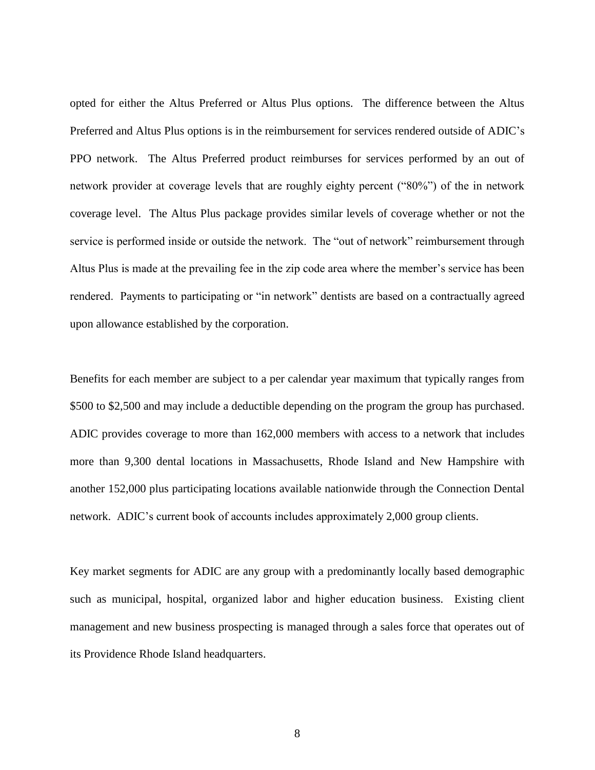opted for either the Altus Preferred or Altus Plus options. The difference between the Altus Preferred and Altus Plus options is in the reimbursement for services rendered outside of ADIC's PPO network. The Altus Preferred product reimburses for services performed by an out of network provider at coverage levels that are roughly eighty percent ("80%") of the in network coverage level. The Altus Plus package provides similar levels of coverage whether or not the service is performed inside or outside the network. The "out of network" reimbursement through Altus Plus is made at the prevailing fee in the zip code area where the member's service has been rendered. Payments to participating or "in network" dentists are based on a contractually agreed upon allowance established by the corporation.

Benefits for each member are subject to a per calendar year maximum that typically ranges from \$500 to \$2,500 and may include a deductible depending on the program the group has purchased. ADIC provides coverage to more than 162,000 members with access to a network that includes more than 9,300 dental locations in Massachusetts, Rhode Island and New Hampshire with another 152,000 plus participating locations available nationwide through the Connection Dental network. ADIC's current book of accounts includes approximately 2,000 group clients.

Key market segments for ADIC are any group with a predominantly locally based demographic such as municipal, hospital, organized labor and higher education business. Existing client management and new business prospecting is managed through a sales force that operates out of its Providence Rhode Island headquarters.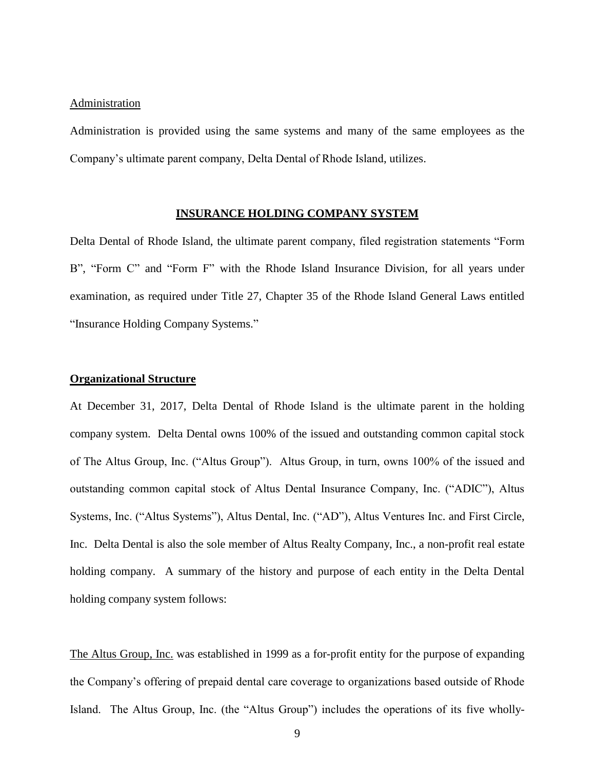#### **Administration**

Administration is provided using the same systems and many of the same employees as the Company's ultimate parent company, Delta Dental of Rhode Island, utilizes.

#### **INSURANCE HOLDING COMPANY SYSTEM**

Delta Dental of Rhode Island, the ultimate parent company, filed registration statements "Form B", "Form C" and "Form F" with the Rhode Island Insurance Division, for all years under examination, as required under Title 27, Chapter 35 of the Rhode Island General Laws entitled "Insurance Holding Company Systems."

#### **Organizational Structure**

At December 31, 2017, Delta Dental of Rhode Island is the ultimate parent in the holding company system. Delta Dental owns 100% of the issued and outstanding common capital stock of The Altus Group, Inc. ("Altus Group"). Altus Group, in turn, owns 100% of the issued and outstanding common capital stock of Altus Dental Insurance Company, Inc. ("ADIC"), Altus Systems, Inc. ("Altus Systems"), Altus Dental, Inc. ("AD"), Altus Ventures Inc. and First Circle, Inc. Delta Dental is also the sole member of Altus Realty Company, Inc., a non-profit real estate holding company. A summary of the history and purpose of each entity in the Delta Dental holding company system follows:

The Altus Group, Inc. was established in 1999 as a for-profit entity for the purpose of expanding the Company's offering of prepaid dental care coverage to organizations based outside of Rhode Island. The Altus Group, Inc. (the "Altus Group") includes the operations of its five wholly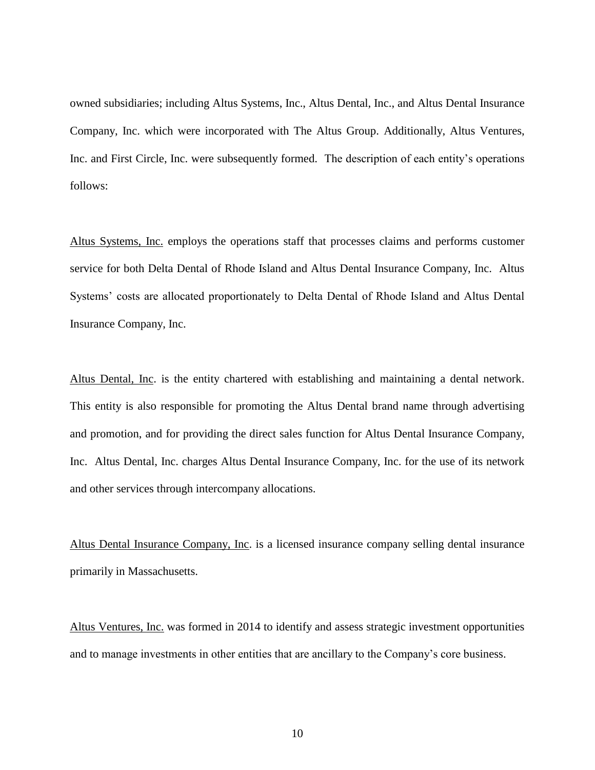owned subsidiaries; including Altus Systems, Inc., Altus Dental, Inc., and Altus Dental Insurance Company, Inc. which were incorporated with The Altus Group. Additionally, Altus Ventures, Inc. and First Circle, Inc. were subsequently formed. The description of each entity's operations follows:

Altus Systems, Inc. employs the operations staff that processes claims and performs customer service for both Delta Dental of Rhode Island and Altus Dental Insurance Company, Inc. Altus Systems' costs are allocated proportionately to Delta Dental of Rhode Island and Altus Dental Insurance Company, Inc.

Altus Dental, Inc. is the entity chartered with establishing and maintaining a dental network. This entity is also responsible for promoting the Altus Dental brand name through advertising and promotion, and for providing the direct sales function for Altus Dental Insurance Company, Inc. Altus Dental, Inc. charges Altus Dental Insurance Company, Inc. for the use of its network and other services through intercompany allocations.

Altus Dental Insurance Company, Inc. is a licensed insurance company selling dental insurance primarily in Massachusetts.

Altus Ventures, Inc. was formed in 2014 to identify and assess strategic investment opportunities and to manage investments in other entities that are ancillary to the Company's core business.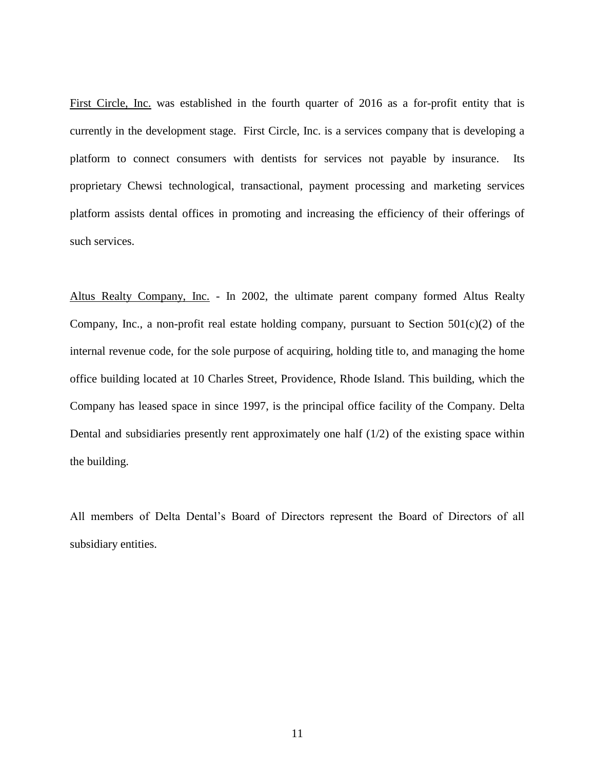First Circle, Inc. was established in the fourth quarter of 2016 as a for-profit entity that is currently in the development stage. First Circle, Inc. is a services company that is developing a platform to connect consumers with dentists for services not payable by insurance. Its proprietary Chewsi technological, transactional, payment processing and marketing services platform assists dental offices in promoting and increasing the efficiency of their offerings of such services.

Altus Realty Company, Inc. - In 2002, the ultimate parent company formed Altus Realty Company, Inc., a non-profit real estate holding company, pursuant to Section  $501(c)(2)$  of the internal revenue code, for the sole purpose of acquiring, holding title to, and managing the home office building located at 10 Charles Street, Providence, Rhode Island. This building, which the Company has leased space in since 1997, is the principal office facility of the Company. Delta Dental and subsidiaries presently rent approximately one half  $(1/2)$  of the existing space within the building.

All members of Delta Dental's Board of Directors represent the Board of Directors of all subsidiary entities.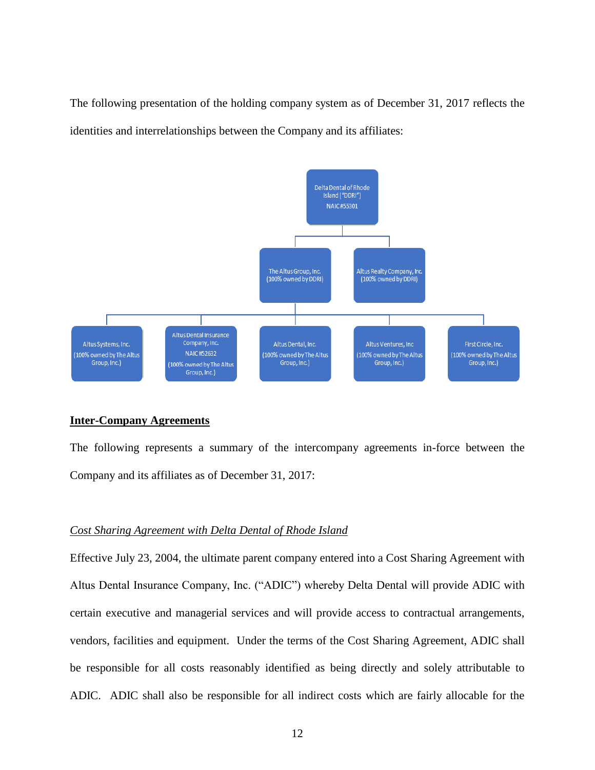The following presentation of the holding company system as of December 31, 2017 reflects the identities and interrelationships between the Company and its affiliates:



#### **Inter-Company Agreements**

The following represents a summary of the intercompany agreements in-force between the Company and its affiliates as of December 31, 2017:

## *Cost Sharing Agreement with Delta Dental of Rhode Island*

Effective July 23, 2004, the ultimate parent company entered into a Cost Sharing Agreement with Altus Dental Insurance Company, Inc. ("ADIC") whereby Delta Dental will provide ADIC with certain executive and managerial services and will provide access to contractual arrangements, vendors, facilities and equipment. Under the terms of the Cost Sharing Agreement, ADIC shall be responsible for all costs reasonably identified as being directly and solely attributable to ADIC. ADIC shall also be responsible for all indirect costs which are fairly allocable for the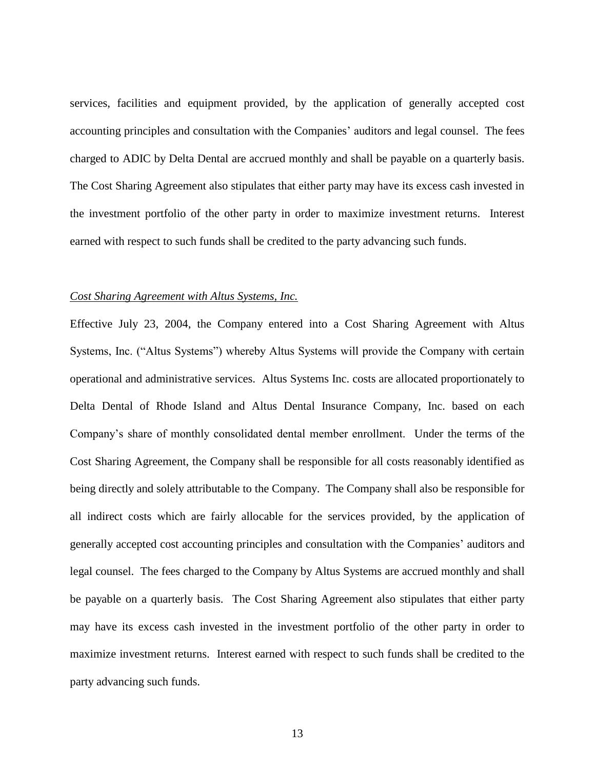services, facilities and equipment provided, by the application of generally accepted cost accounting principles and consultation with the Companies' auditors and legal counsel. The fees charged to ADIC by Delta Dental are accrued monthly and shall be payable on a quarterly basis. The Cost Sharing Agreement also stipulates that either party may have its excess cash invested in the investment portfolio of the other party in order to maximize investment returns. Interest earned with respect to such funds shall be credited to the party advancing such funds.

## *Cost Sharing Agreement with Altus Systems, Inc.*

Effective July 23, 2004, the Company entered into a Cost Sharing Agreement with Altus Systems, Inc. ("Altus Systems") whereby Altus Systems will provide the Company with certain operational and administrative services. Altus Systems Inc. costs are allocated proportionately to Delta Dental of Rhode Island and Altus Dental Insurance Company, Inc. based on each Company's share of monthly consolidated dental member enrollment. Under the terms of the Cost Sharing Agreement, the Company shall be responsible for all costs reasonably identified as being directly and solely attributable to the Company. The Company shall also be responsible for all indirect costs which are fairly allocable for the services provided, by the application of generally accepted cost accounting principles and consultation with the Companies' auditors and legal counsel. The fees charged to the Company by Altus Systems are accrued monthly and shall be payable on a quarterly basis. The Cost Sharing Agreement also stipulates that either party may have its excess cash invested in the investment portfolio of the other party in order to maximize investment returns. Interest earned with respect to such funds shall be credited to the party advancing such funds.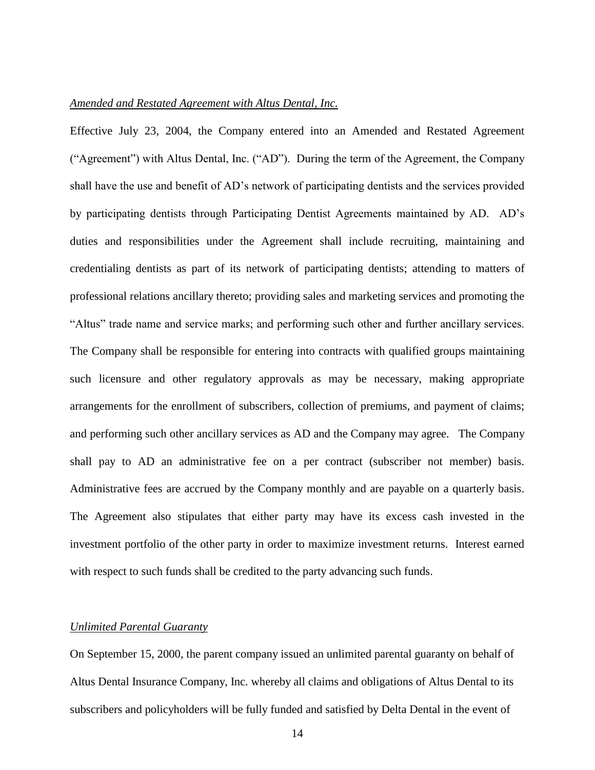## *Amended and Restated Agreement with Altus Dental, Inc.*

Effective July 23, 2004, the Company entered into an Amended and Restated Agreement ("Agreement") with Altus Dental, Inc. ("AD"). During the term of the Agreement, the Company shall have the use and benefit of AD's network of participating dentists and the services provided by participating dentists through Participating Dentist Agreements maintained by AD. AD's duties and responsibilities under the Agreement shall include recruiting, maintaining and credentialing dentists as part of its network of participating dentists; attending to matters of professional relations ancillary thereto; providing sales and marketing services and promoting the "Altus" trade name and service marks; and performing such other and further ancillary services. The Company shall be responsible for entering into contracts with qualified groups maintaining such licensure and other regulatory approvals as may be necessary, making appropriate arrangements for the enrollment of subscribers, collection of premiums, and payment of claims; and performing such other ancillary services as AD and the Company may agree. The Company shall pay to AD an administrative fee on a per contract (subscriber not member) basis. Administrative fees are accrued by the Company monthly and are payable on a quarterly basis. The Agreement also stipulates that either party may have its excess cash invested in the investment portfolio of the other party in order to maximize investment returns. Interest earned with respect to such funds shall be credited to the party advancing such funds.

## *Unlimited Parental Guaranty*

On September 15, 2000, the parent company issued an unlimited parental guaranty on behalf of Altus Dental Insurance Company, Inc. whereby all claims and obligations of Altus Dental to its subscribers and policyholders will be fully funded and satisfied by Delta Dental in the event of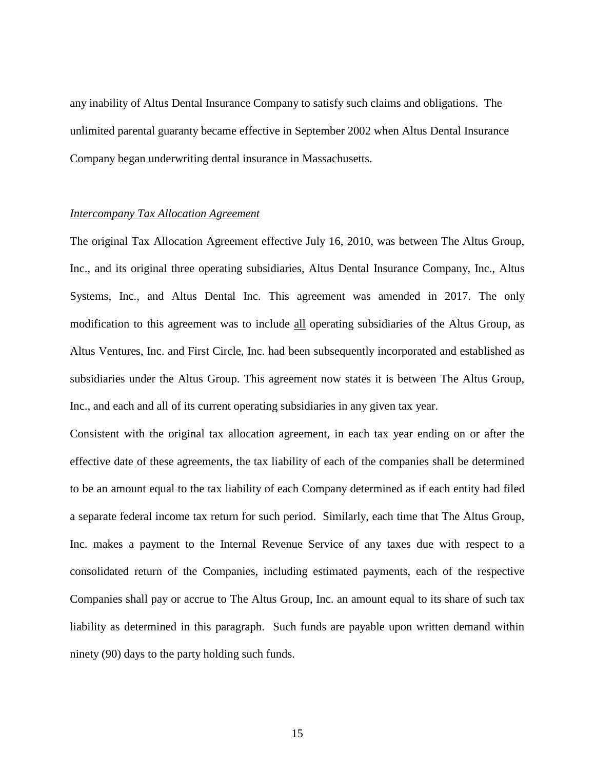any inability of Altus Dental Insurance Company to satisfy such claims and obligations. The unlimited parental guaranty became effective in September 2002 when Altus Dental Insurance Company began underwriting dental insurance in Massachusetts.

## *Intercompany Tax Allocation Agreement*

The original Tax Allocation Agreement effective July 16, 2010, was between The Altus Group, Inc., and its original three operating subsidiaries, Altus Dental Insurance Company, Inc., Altus Systems, Inc., and Altus Dental Inc. This agreement was amended in 2017. The only modification to this agreement was to include all operating subsidiaries of the Altus Group, as Altus Ventures, Inc. and First Circle, Inc. had been subsequently incorporated and established as subsidiaries under the Altus Group. This agreement now states it is between The Altus Group, Inc., and each and all of its current operating subsidiaries in any given tax year.

Consistent with the original tax allocation agreement, in each tax year ending on or after the effective date of these agreements, the tax liability of each of the companies shall be determined to be an amount equal to the tax liability of each Company determined as if each entity had filed a separate federal income tax return for such period. Similarly, each time that The Altus Group, Inc. makes a payment to the Internal Revenue Service of any taxes due with respect to a consolidated return of the Companies, including estimated payments, each of the respective Companies shall pay or accrue to The Altus Group, Inc. an amount equal to its share of such tax liability as determined in this paragraph. Such funds are payable upon written demand within ninety (90) days to the party holding such funds.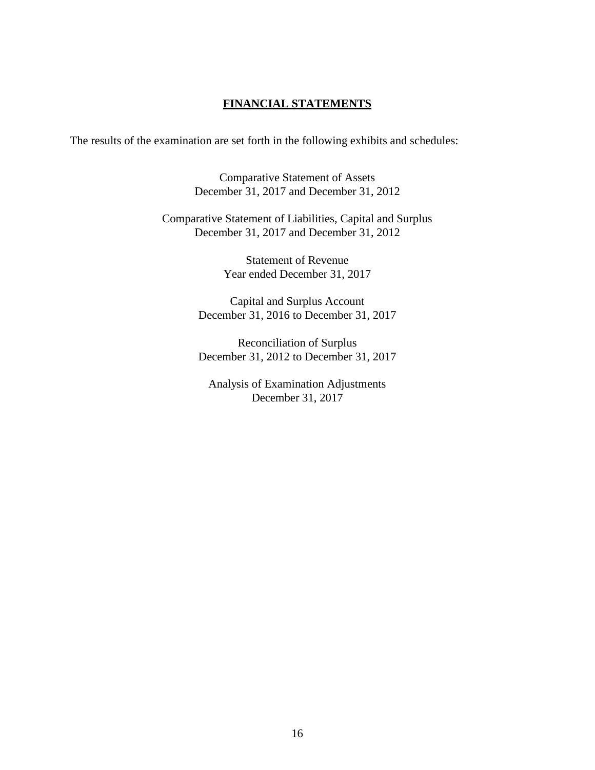## **FINANCIAL STATEMENTS**

The results of the examination are set forth in the following exhibits and schedules:

Comparative Statement of Assets December 31, 2017 and December 31, 2012

Comparative Statement of Liabilities, Capital and Surplus December 31, 2017 and December 31, 2012

> Statement of Revenue Year ended December 31, 2017

Capital and Surplus Account December 31, 2016 to December 31, 2017

Reconciliation of Surplus December 31, 2012 to December 31, 2017

Analysis of Examination Adjustments December 31, 2017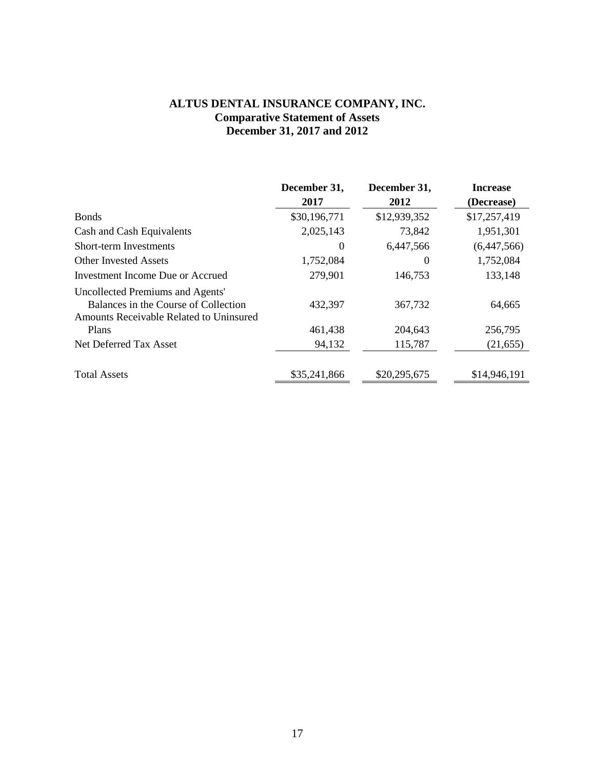## **ALTUS DENTAL INSURANCE COMPANY, INC. Comparative Statement of Assets December 31, 2017 and 2012**

|                                                                                                                     | December 31, | December 31, | <b>Increase</b> |
|---------------------------------------------------------------------------------------------------------------------|--------------|--------------|-----------------|
|                                                                                                                     | 2017         | 2012         | (Decrease)      |
| <b>Bonds</b>                                                                                                        | \$30,196,771 | \$12,939,352 | \$17,257,419    |
| Cash and Cash Equivalents                                                                                           | 2,025,143    | 73,842       | 1,951,301       |
| <b>Short-term Investments</b>                                                                                       | $\theta$     | 6,447,566    | (6,447,566)     |
| <b>Other Invested Assets</b>                                                                                        | 1,752,084    | $\Omega$     | 1,752,084       |
| Investment Income Due or Accrued                                                                                    | 279,901      | 146,753      | 133,148         |
| Uncollected Premiums and Agents'<br>Balances in the Course of Collection<br>Amounts Receivable Related to Uninsured | 432,397      | 367,732      | 64,665          |
| Plans                                                                                                               | 461,438      | 204,643      | 256,795         |
| Net Deferred Tax Asset                                                                                              | 94,132       | 115,787      | (21, 655)       |
| <b>Total Assets</b>                                                                                                 | \$35,241,866 | \$20,295,675 | \$14,946,191    |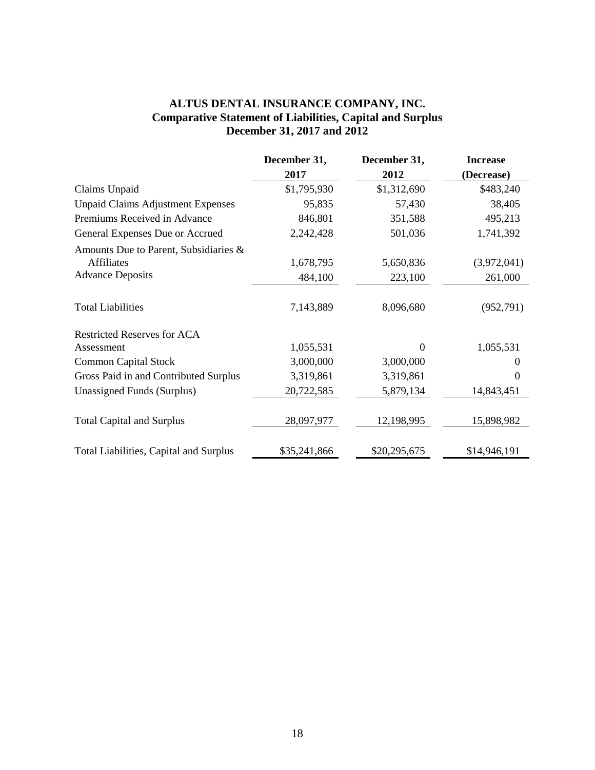## **ALTUS DENTAL INSURANCE COMPANY, INC. Comparative Statement of Liabilities, Capital and Surplus December 31, 2017 and 2012**

|                                          | December 31, | December 31, | <b>Increase</b>   |
|------------------------------------------|--------------|--------------|-------------------|
|                                          | 2017         | 2012         | (Decrease)        |
| Claims Unpaid                            | \$1,795,930  | \$1,312,690  | \$483,240         |
| <b>Unpaid Claims Adjustment Expenses</b> | 95,835       | 57,430       | 38,405            |
| Premiums Received in Advance             | 846,801      | 351,588      | 495,213           |
| General Expenses Due or Accrued          | 2,242,428    | 501,036      | 1,741,392         |
| Amounts Due to Parent, Subsidiaries &    |              |              |                   |
| <b>Affiliates</b>                        | 1,678,795    | 5,650,836    | (3,972,041)       |
| <b>Advance Deposits</b>                  | 484,100      | 223,100      | 261,000           |
| <b>Total Liabilities</b>                 | 7,143,889    | 8,096,680    | (952, 791)        |
| <b>Restricted Reserves for ACA</b>       |              |              |                   |
| Assessment                               | 1,055,531    | 0            | 1,055,531         |
| <b>Common Capital Stock</b>              | 3,000,000    | 3,000,000    | $\mathbf{\Omega}$ |
| Gross Paid in and Contributed Surplus    | 3,319,861    | 3,319,861    | $\Omega$          |
| Unassigned Funds (Surplus)               | 20,722,585   | 5,879,134    | 14,843,451        |
| <b>Total Capital and Surplus</b>         | 28,097,977   | 12,198,995   | 15,898,982        |
| Total Liabilities, Capital and Surplus   | \$35,241,866 | \$20,295,675 | \$14,946,191      |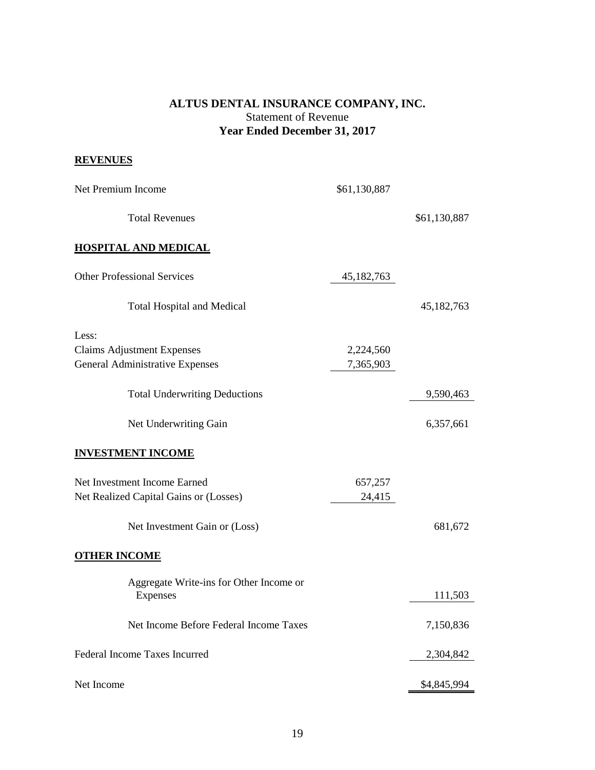## **ALTUS DENTAL INSURANCE COMPANY, INC.** Statement of Revenue **Year Ended December 31, 2017**

## **REVENUES**

| Net Premium Income                                  | \$61,130,887 |              |
|-----------------------------------------------------|--------------|--------------|
| <b>Total Revenues</b>                               |              | \$61,130,887 |
| <b>HOSPITAL AND MEDICAL</b>                         |              |              |
| <b>Other Professional Services</b>                  | 45,182,763   |              |
| <b>Total Hospital and Medical</b>                   |              | 45, 182, 763 |
| Less:                                               |              |              |
| <b>Claims Adjustment Expenses</b>                   | 2,224,560    |              |
| General Administrative Expenses                     | 7,365,903    |              |
| <b>Total Underwriting Deductions</b>                |              | 9,590,463    |
| Net Underwriting Gain                               |              | 6,357,661    |
| <b>INVESTMENT INCOME</b>                            |              |              |
| Net Investment Income Earned                        | 657,257      |              |
| Net Realized Capital Gains or (Losses)              | 24,415       |              |
| Net Investment Gain or (Loss)                       |              | 681,672      |
| <b>OTHER INCOME</b>                                 |              |              |
| Aggregate Write-ins for Other Income or<br>Expenses |              | 111,503      |
| Net Income Before Federal Income Taxes              |              | 7,150,836    |
| Federal Income Taxes Incurred                       |              | 2,304,842    |
| Net Income                                          |              | \$4,845,994  |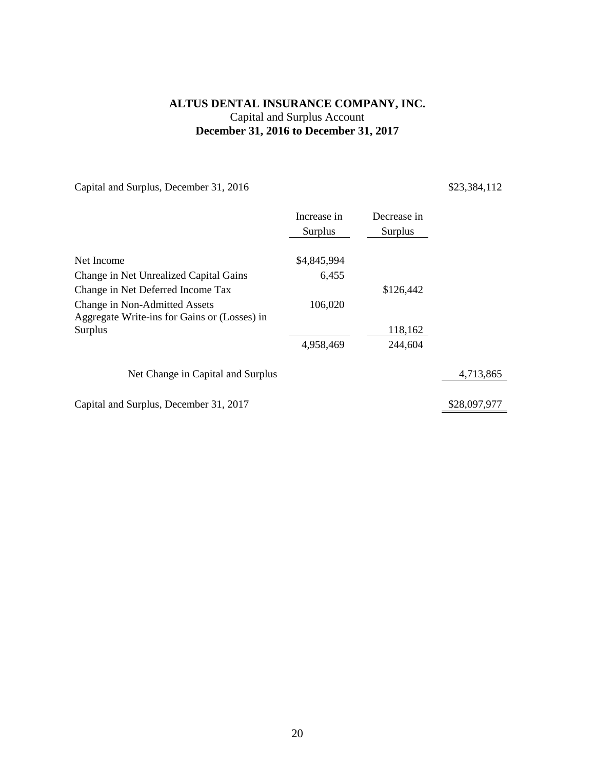## **ALTUS DENTAL INSURANCE COMPANY, INC.** Capital and Surplus Account **December 31, 2016 to December 31, 2017**

Capital and Surplus, December 31, 2016 \$23,384,112

|                                                                               | Increase in<br>Surplus | Decrease in<br>Surplus |              |
|-------------------------------------------------------------------------------|------------------------|------------------------|--------------|
| Net Income                                                                    | \$4,845,994            |                        |              |
| Change in Net Unrealized Capital Gains                                        | 6,455                  |                        |              |
| Change in Net Deferred Income Tax                                             |                        | \$126,442              |              |
| Change in Non-Admitted Assets<br>Aggregate Write-ins for Gains or (Losses) in | 106,020                |                        |              |
| Surplus                                                                       |                        | 118,162                |              |
|                                                                               | 4,958,469              | 244,604                |              |
| Net Change in Capital and Surplus                                             |                        |                        | 4,713,865    |
| Capital and Surplus, December 31, 2017                                        |                        |                        | \$28,097,977 |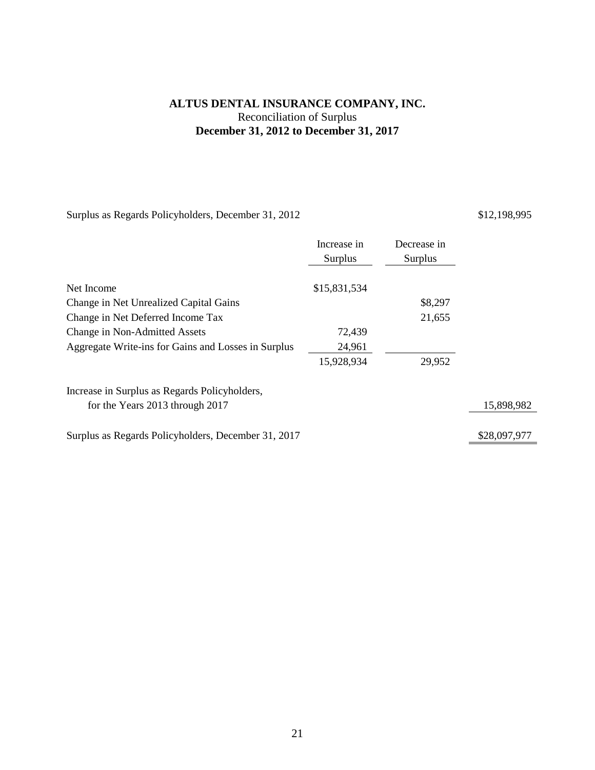## **ALTUS DENTAL INSURANCE COMPANY, INC.** Reconciliation of Surplus **December 31, 2012 to December 31, 2017**

Surplus as Regards Policyholders, December 31, 2012 \$12,198,995

|                                                     | Increase in<br>Surplus | Decrease in<br>Surplus |              |
|-----------------------------------------------------|------------------------|------------------------|--------------|
| Net Income                                          | \$15,831,534           |                        |              |
| Change in Net Unrealized Capital Gains              |                        | \$8,297                |              |
| Change in Net Deferred Income Tax                   |                        | 21,655                 |              |
| Change in Non-Admitted Assets                       | 72,439                 |                        |              |
| Aggregate Write-ins for Gains and Losses in Surplus | 24,961                 |                        |              |
|                                                     | 15,928,934             | 29,952                 |              |
| Increase in Surplus as Regards Policyholders,       |                        |                        |              |
| for the Years 2013 through 2017                     |                        |                        | 15,898,982   |
| Surplus as Regards Policyholders, December 31, 2017 |                        |                        | \$28,097,977 |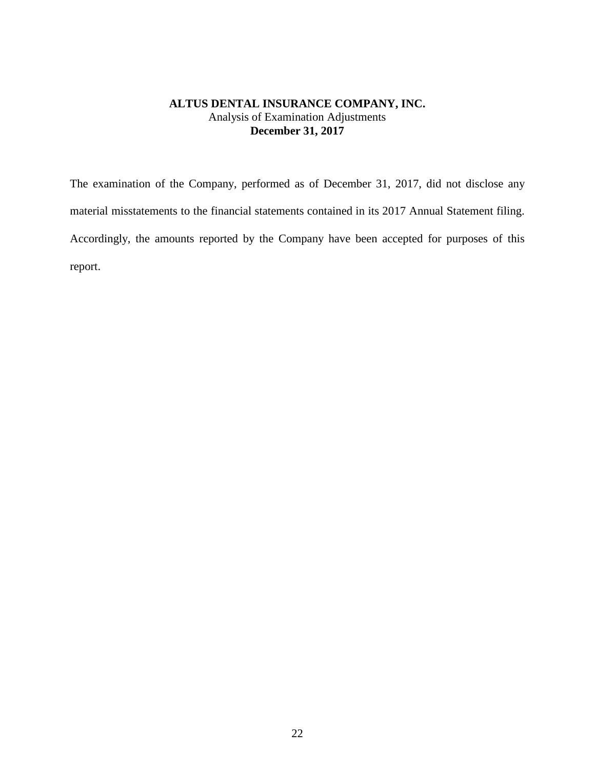## **ALTUS DENTAL INSURANCE COMPANY, INC.** Analysis of Examination Adjustments **December 31, 2017**

The examination of the Company, performed as of December 31, 2017, did not disclose any material misstatements to the financial statements contained in its 2017 Annual Statement filing. Accordingly, the amounts reported by the Company have been accepted for purposes of this report.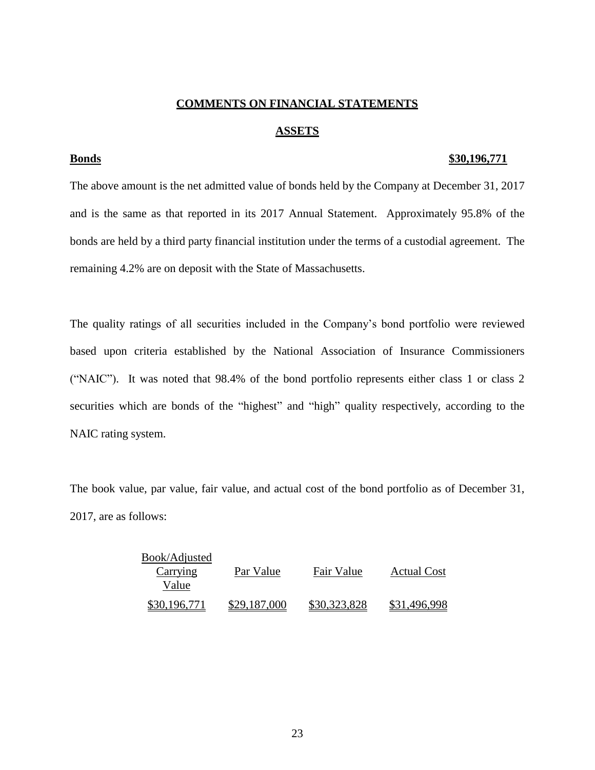## **COMMENTS ON FINANCIAL STATEMENTS**

## **ASSETS**

#### **Bonds \$30,196,771**

The above amount is the net admitted value of bonds held by the Company at December 31, 2017 and is the same as that reported in its 2017 Annual Statement. Approximately 95.8% of the bonds are held by a third party financial institution under the terms of a custodial agreement. The remaining 4.2% are on deposit with the State of Massachusetts.

The quality ratings of all securities included in the Company's bond portfolio were reviewed based upon criteria established by the National Association of Insurance Commissioners ("NAIC"). It was noted that 98.4% of the bond portfolio represents either class 1 or class 2 securities which are bonds of the "highest" and "high" quality respectively, according to the NAIC rating system.

The book value, par value, fair value, and actual cost of the bond portfolio as of December 31, 2017, are as follows:

| Book/Adjusted |              |              |              |
|---------------|--------------|--------------|--------------|
| Carrying      | Par Value    | Fair Value   | Actual Cost  |
| Value         |              |              |              |
| \$30,196,771  | \$29,187,000 | \$30,323,828 | \$31,496,998 |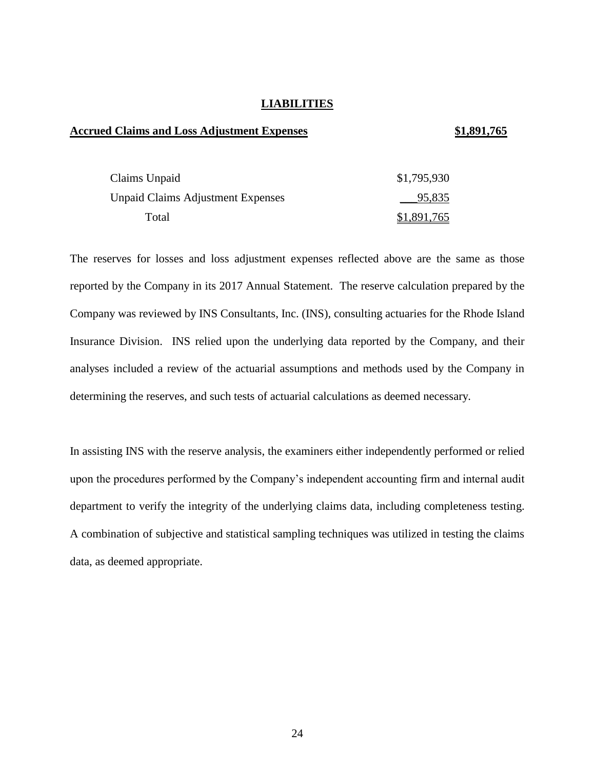## **LIABILITIES**

## **Accrued Claims and Loss Adjustment Expenses \$1,891,765**

| Claims Unpaid                            | \$1,795,930 |
|------------------------------------------|-------------|
| <b>Unpaid Claims Adjustment Expenses</b> | 95,835      |
| Total                                    | \$1,891,765 |

The reserves for losses and loss adjustment expenses reflected above are the same as those reported by the Company in its 2017 Annual Statement. The reserve calculation prepared by the Company was reviewed by INS Consultants, Inc. (INS), consulting actuaries for the Rhode Island Insurance Division. INS relied upon the underlying data reported by the Company, and their analyses included a review of the actuarial assumptions and methods used by the Company in determining the reserves, and such tests of actuarial calculations as deemed necessary.

In assisting INS with the reserve analysis, the examiners either independently performed or relied upon the procedures performed by the Company's independent accounting firm and internal audit department to verify the integrity of the underlying claims data, including completeness testing. A combination of subjective and statistical sampling techniques was utilized in testing the claims data, as deemed appropriate.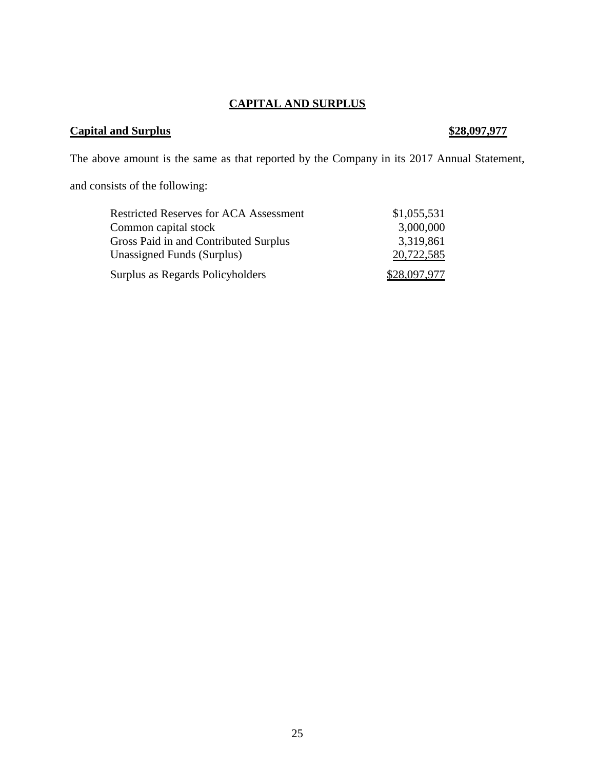## **CAPITAL AND SURPLUS**

## **Capital and Surplus \$28,097,977**

The above amount is the same as that reported by the Company in its 2017 Annual Statement,

and consists of the following:

| <b>Restricted Reserves for ACA Assessment</b> | \$1,055,531  |
|-----------------------------------------------|--------------|
| Common capital stock                          | 3,000,000    |
| Gross Paid in and Contributed Surplus         | 3,319,861    |
| <b>Unassigned Funds (Surplus)</b>             | 20,722,585   |
| Surplus as Regards Policyholders              | \$28,097,977 |